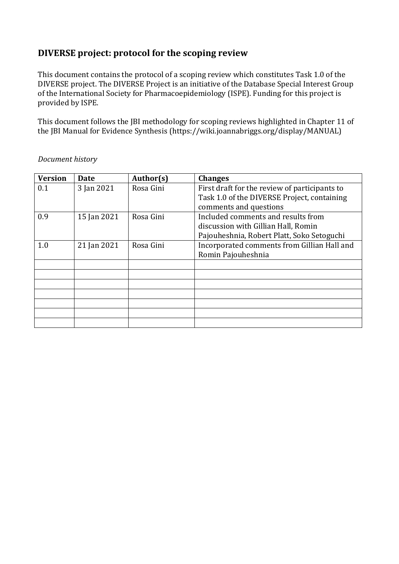# **DIVERSE project: protocol for the scoping review**

This document contains the protocol of a scoping review which constitutes Task 1.0 of the DIVERSE project. The DIVERSE Project is an initiative of the Database Special Interest Group of the International Society for Pharmacoepidemiology (ISPE). Funding for this project is provided by ISPE.

This document follows the JBI methodology for scoping reviews highlighted in Chapter 11 of the JBI Manual for Evidence Synthesis (https://wiki.joannabriggs.org/display/MANUAL)

| <b>Version</b> | <b>Date</b> | Author(s) | <b>Changes</b>                                                    |  |
|----------------|-------------|-----------|-------------------------------------------------------------------|--|
| 0.1            | 3 Jan 2021  | Rosa Gini | First draft for the review of participants to                     |  |
|                |             |           | Task 1.0 of the DIVERSE Project, containing                       |  |
|                |             |           | comments and questions                                            |  |
| 0.9            | 15 Jan 2021 | Rosa Gini | Included comments and results from                                |  |
|                |             |           | discussion with Gillian Hall, Romin                               |  |
|                |             |           | Pajouheshnia, Robert Platt, Soko Setoguchi                        |  |
| 1.0            | 21 Jan 2021 | Rosa Gini | Incorporated comments from Gillian Hall and<br>Romin Pajouheshnia |  |
|                |             |           |                                                                   |  |
|                |             |           |                                                                   |  |
|                |             |           |                                                                   |  |
|                |             |           |                                                                   |  |
|                |             |           |                                                                   |  |
|                |             |           |                                                                   |  |
|                |             |           |                                                                   |  |
|                |             |           |                                                                   |  |

*Document history*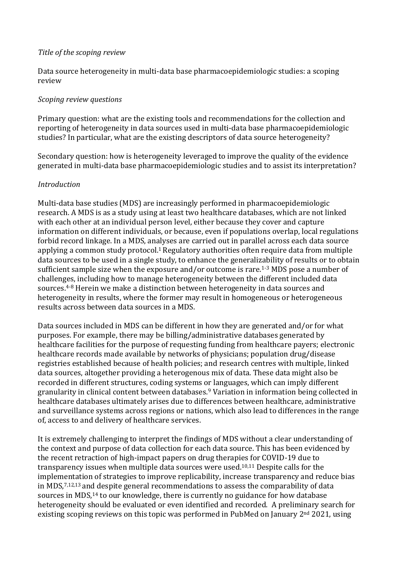#### *Title of the scoping review*

Data source heterogeneity in multi-data base pharmacoepidemiologic studies: a scoping review

#### *Scoping review questions*

Primary question: what are the existing tools and recommendations for the collection and reporting of heterogeneity in data sources used in multi-data base pharmacoepidemiologic studies? In particular, what are the existing descriptors of data source heterogeneity?

Secondary question: how is heterogeneity leveraged to improve the quality of the evidence generated in multi-data base pharmacoepidemiologic studies and to assist its interpretation?

#### *Introduction*

Multi-data base studies (MDS) are increasingly performed in pharmacoepidemiologic research. A MDS is as a study using at least two healthcare databases, which are not linked with each other at an individual person level, either because they cover and capture information on different individuals, or because, even if populations overlap, local regulations forbid record linkage. In a MDS, analyses are carried out in parallel across each data source applying a common study protocol.<sup>1</sup> Regulatory authorities often require data from multiple data sources to be used in a single study, to enhance the generalizability of results or to obtain sufficient sample size when the exposure and/or outcome is rare.<sup>1-3</sup> MDS pose a number of challenges, including how to manage heterogeneity between the different included data sources.4-8 Herein we make a distinction between heterogeneity in data sources and heterogeneity in results, where the former may result in homogeneous or heterogeneous results across between data sources in a MDS.

Data sources included in MDS can be different in how they are generated and/or for what purposes. For example, there may be billing/administrative databases generated by healthcare facilities for the purpose of requesting funding from healthcare payers; electronic healthcare records made available by networks of physicians; population drug/disease registries established because of health policies; and research centres with multiple, linked data sources, altogether providing a heterogenous mix of data. These data might also be recorded in different structures, coding systems or languages, which can imply different granularity in clinical content between databases.<sup>9</sup> Variation in information being collected in healthcare databases ultimately arises due to differences between healthcare, administrative and surveillance systems across regions or nations, which also lead to differences in the range of, access to and delivery of healthcare services.

It is extremely challenging to interpret the findings of MDS without a clear understanding of the context and purpose of data collection for each data source. This has been evidenced by the recent retraction of high-impact papers on drug therapies for COVID-19 due to transparency issues when multiple data sources were used.10,11 Despite calls for the implementation of strategies to improve replicability, increase transparency and reduce bias in MDS, 7,12,13 and despite general recommendations to assess the comparability of data sources in MDS,<sup>14</sup> to our knowledge, there is currently no guidance for how database heterogeneity should be evaluated or even identified and recorded. A preliminary search for existing scoping reviews on this topic was performed in PubMed on January 2<sup>nd</sup> 2021, using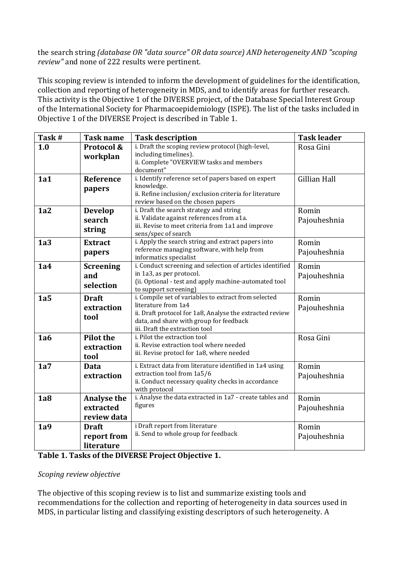the search string *(database OR "data source" OR data source) AND heterogeneity AND "scoping review"* and none of 222 results were pertinent.

This scoping review is intended to inform the development of guidelines for the identification, collection and reporting of heterogeneity in MDS, and to identify areas for further research. This activity is the Objective 1 of the DIVERSE project, of the Database Special Interest Group of the International Society for Pharmacoepidemiology (ISPE). The list of the tasks included in Objective 1 of the DIVERSE Project is described in Table 1.

| Task# | <b>Task name</b>                               | <b>Task description</b>                                                                                                                                                                                              | <b>Task leader</b>    |
|-------|------------------------------------------------|----------------------------------------------------------------------------------------------------------------------------------------------------------------------------------------------------------------------|-----------------------|
| 1.0   | Protocol &<br>workplan                         | i. Draft the scoping review protocol (high-level,<br>including timelines).<br>ii. Complete "OVERVIEW tasks and members<br>document"                                                                                  | Rosa Gini             |
| 1a1   | Reference<br>papers                            | i. Identify reference set of papers based on expert<br>knowledge.<br>ii. Refine inclusion/exclusion criteria for literature<br>review based on the chosen papers                                                     | <b>Gillian Hall</b>   |
| 1a2   | <b>Develop</b><br>search<br>string             | i. Draft the search strategy and string<br>ii. Validate against references from a1a.<br>iii. Revise to meet criteria from 1a1 and improve<br>sens/spec of search                                                     | Romin<br>Pajouheshnia |
| 1a3   | <b>Extract</b><br>papers                       | i. Apply the search string and extract papers into<br>reference managing software, with help from<br>informatics specialist                                                                                          | Romin<br>Pajouheshnia |
| 1a4   | <b>Screening</b><br>and<br>selection           | i. Conduct screening and selection of articles identified<br>in 1a3, as per protocol.<br>(ii. Optional - test and apply machine-automated tool<br>to support screening)                                              | Romin<br>Pajouheshnia |
| 1a5   | <b>Draft</b><br>extraction<br>tool             | i. Compile set of variables to extract from selected<br>literature from 1a4<br>ii. Draft protocol for 1a8, Analyse the extracted review<br>data, and share with group for feedback<br>iii. Draft the extraction tool | Romin<br>Pajouheshnia |
| 1a6   | <b>Pilot the</b><br>extraction<br>tool         | i. Pilot the extraction tool<br>ii. Revise extraction tool where needed<br>iii. Revise protocl for 1a8, where needed                                                                                                 | Rosa Gini             |
| 1a7   | <b>Data</b><br>extraction                      | i. Extract data from literature identified in 1a4 using<br>extraction tool from 1a5/6<br>ii. Conduct necessary quality checks in accordance<br>with protocol                                                         | Romin<br>Pajouheshnia |
| 1a8   | <b>Analyse the</b><br>extracted<br>review data | i. Analyse the data extracted in 1a7 - create tables and<br>figures                                                                                                                                                  | Romin<br>Pajouheshnia |
| 1a9   | <b>Draft</b><br>report from<br>literature      | i Draft report from literature<br>ii. Send to whole group for feedback                                                                                                                                               | Romin<br>Pajouheshnia |

#### **Table 1. Tasks of the DIVERSE Project Objective 1.**

#### *Scoping review objective*

The objective of this scoping review is to list and summarize existing tools and recommendations for the collection and reporting of heterogeneity in data sources used in MDS, in particular listing and classifying existing descriptors of such heterogeneity. A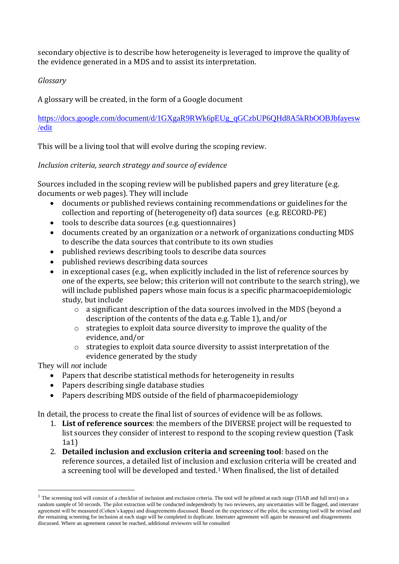secondary objective is to describe how heterogeneity is leveraged to improve the quality of the evidence generated in a MDS and to assist its interpretation.

# *Glossary*

A glossary will be created, in the form of a Google document

[https://docs.google.com/document/d/1GXgaR9RWk6pEUg\\_qGCzbUP6QHd8A5kRbOOBJbfayesw](https://docs.google.com/document/d/1GXgaR9RWk6pEUg_qGCzbUP6QHd8A5kRbOOBJbfayesw/edit) [/edit](https://docs.google.com/document/d/1GXgaR9RWk6pEUg_qGCzbUP6QHd8A5kRbOOBJbfayesw/edit)

This will be a living tool that will evolve during the scoping review.

# *Inclusion criteria, search strategy and source of evidence*

Sources included in the scoping review will be published papers and grey literature (e.g. documents or web pages). They will include

- documents or published reviews containing recommendations or guidelines for the collection and reporting of (heterogeneity of) data sources (e.g. RECORD-PE)
- tools to describe data sources (e.g. questionnaires)
- documents created by an organization or a network of organizations conducting MDS to describe the data sources that contribute to its own studies
- published reviews describing tools to describe data sources
- published reviews describing data sources
- in exceptional cases (e.g., when explicitly included in the list of reference sources by one of the experts, see below; this criterion will not contribute to the search string), we will include published papers whose main focus is a specific pharmacoepidemiologic study, but include
	- o a significant description of the data sources involved in the MDS (beyond a description of the contents of the data e.g. Table 1), and/or
	- o strategies to exploit data source diversity to improve the quality of the evidence, and/or
	- o strategies to exploit data source diversity to assist interpretation of the evidence generated by the study

They will *not* include

- Papers that describe statistical methods for heterogeneity in results
- Papers describing single database studies
- Papers describing MDS outside of the field of pharmacoepidemiology

In detail, the process to create the final list of sources of evidence will be as follows.

- 1. **List of reference sources**: the members of the DIVERSE project will be requested to list sources they consider of interest to respond to the scoping review question (Task 1a1)
- 2. **Detailed inclusion and exclusion criteria and screening tool**: based on the reference sources, a detailed list of inclusion and exclusion criteria will be created and a screening tool will be developed and tested. <sup>1</sup> When finalised, the list of detailed

 $<sup>1</sup>$  The screening tool will consist of a checklist of inclusion and exclusion criteria. The tool will be piloted at each stage (TIAB and full text) on a</sup> random sample of 50 records. The pilot extraction will be conducted independently by two reviewers, any uncertainties will be flagged, and interrater agreement will be measured (Cohen's kappa) and disagreements discussed. Based on the experience of the pilot, the screening tool will be revised and the remaining screening for inclusion at each stage will be completed in duplicate. Interrater agreement will again be measured and disagreements discussed. Where an agreement cannot be reached, additional reviewers will be consulted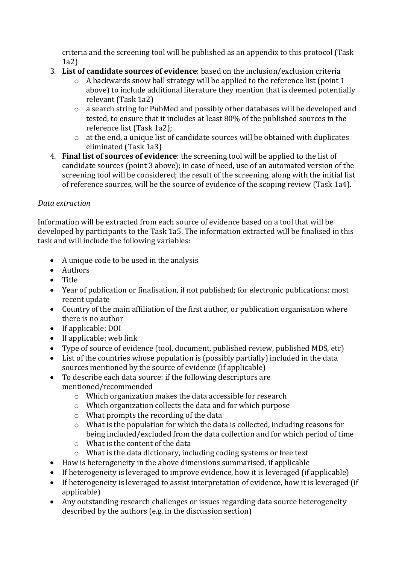criteria and the screening tool will be published as an appendix to this protocol (Task 1a2)

- 3. **List of candidate sources of evidence**: based on the inclusion/exclusion criteria
	- o A backwards snow ball strategy will be applied to the reference list (point 1 above) to include additional literature they mention that is deemed potentially relevant (Task 1a2)
	- o a search string for PubMed and possibly other databases will be developed and tested, to ensure that it includes at least 80% of the published sources in the reference list (Task 1a2);
	- o at the end, a unique list of candidate sources will be obtained with duplicates eliminated (Task 1a3)
- 4. **Final list of sources of evidence**: the screening tool will be applied to the list of candidate sources (point 3 above); in case of need, use of an automated version of the screening tool will be considered; the result of the screening, along with the initial list of reference sources, will be the source of evidence of the scoping review (Task 1a4).

# *Data extraction*

Information will be extracted from each source of evidence based on a tool that will be developed by participants to the Task 1a5. The information extracted will be finalised in this task and will include the following variables:

- A unique code to be used in the analysis
- Authors
- Title
- Year of publication or finalisation, if not published; for electronic publications: most recent update
- Country of the main affiliation of the first author, or publication organisation where there is no author
- If applicable: DOI
- If applicable: web link
- Type of source of evidence (tool, document, published review, published MDS, etc)
- List of the countries whose population is (possibly partially) included in the data sources mentioned by the source of evidence (if applicable)
- To describe each data source: if the following descriptors are mentioned/recommended
	- o Which organization makes the data accessible for research
	- o Which organization collects the data and for which purpose
	- o What prompts the recording of the data
	- o What is the population for which the data is collected, including reasons for being included/excluded from the data collection and for which period of time
	- o What is the content of the data
	- o What is the data dictionary, including coding systems or free text
- How is heterogeneity in the above dimensions summarised, if applicable
- If heterogeneity is leveraged to improve evidence, how it is leveraged (if applicable)
- If heterogeneity is leveraged to assist interpretation of evidence, how it is leveraged (if applicable)
- Any outstanding research challenges or issues regarding data source heterogeneity described by the authors (e.g. in the discussion section)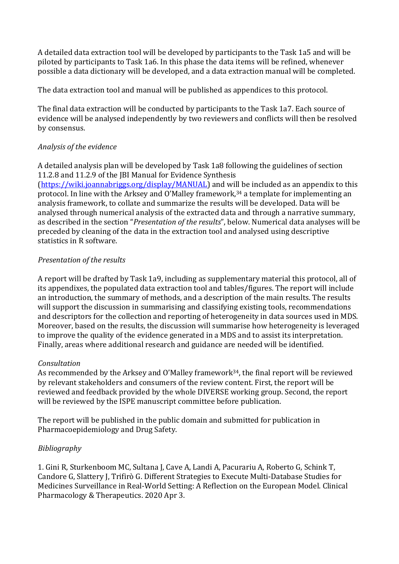A detailed data extraction tool will be developed by participants to the Task 1a5 and will be piloted by participants to Task 1a6. In this phase the data items will be refined, whenever possible a data dictionary will be developed, and a data extraction manual will be completed.

The data extraction tool and manual will be published as appendices to this protocol.

The final data extraction will be conducted by participants to the Task 1a7. Each source of evidence will be analysed independently by two reviewers and conflicts will then be resolved by consensus.

# *Analysis of the evidence*

A detailed analysis plan will be developed by Task 1a8 following the guidelines of section 11.2.8 and 11.2.9 of the JBI Manual for Evidence Synthesis [\(https://wiki.joannabriggs.org/display/MANUAL\)](https://wiki.joannabriggs.org/display/MANUAL) and will be included as an appendix to this protocol. In line with the Arksey and O'Malley framework,<sup>34</sup> a template for implementing an analysis framework, to collate and summarize the results will be developed. Data will be analysed through numerical analysis of the extracted data and through a narrative summary, as described in the section "*Presentation of the results*", below. Numerical data analyses will be preceded by cleaning of the data in the extraction tool and analysed using descriptive statistics in R software.

# *Presentation of the results*

A report will be drafted by Task 1a9, including as supplementary material this protocol, all of its appendixes, the populated data extraction tool and tables/figures. The report will include an introduction, the summary of methods, and a description of the main results. The results will support the discussion in summarising and classifying existing tools, recommendations and descriptors for the collection and reporting of heterogeneity in data sources used in MDS. Moreover, based on the results, the discussion will summarise how heterogeneity is leveraged to improve the quality of the evidence generated in a MDS and to assist its interpretation. Finally, areas where additional research and guidance are needed will be identified.

# *Consultation*

As recommended by the Arksey and O'Malley framework<sup>34</sup>, the final report will be reviewed by relevant stakeholders and consumers of the review content. First, the report will be reviewed and feedback provided by the whole DIVERSE working group. Second, the report will be reviewed by the ISPE manuscript committee before publication.

The report will be published in the public domain and submitted for publication in Pharmacoepidemiology and Drug Safety.

# *Bibliography*

1. Gini R, Sturkenboom MC, Sultana J, Cave A, Landi A, Pacurariu A, Roberto G, Schink T, Candore G, Slattery J, Trifirò G. Different Strategies to Execute Multi‐Database Studies for Medicines Surveillance in Real‐World Setting: A Reflection on the European Model. Clinical Pharmacology & Therapeutics. 2020 Apr 3.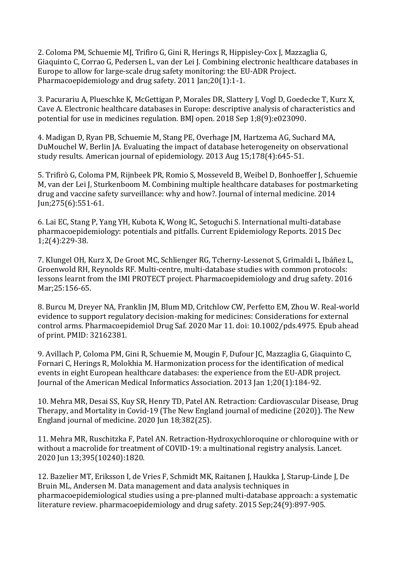2. Coloma PM, Schuemie MJ, Trifiro G, Gini R, Herings R, Hippisley‐Cox J, Mazzaglia G, Giaquinto C, Corrao G, Pedersen L, van der Lei J. Combining electronic healthcare databases in Europe to allow for large‐scale drug safety monitoring: the EU‐ADR Project. Pharmacoepidemiology and drug safety. 2011 Jan;20(1):1-1.

3. Pacurariu A, Plueschke K, McGettigan P, Morales DR, Slattery J, Vogl D, Goedecke T, Kurz X, Cave A. Electronic healthcare databases in Europe: descriptive analysis of characteristics and potential for use in medicines regulation. BMJ open. 2018 Sep 1;8(9):e023090.

4. Madigan D, Ryan PB, Schuemie M, Stang PE, Overhage JM, Hartzema AG, Suchard MA, DuMouchel W, Berlin JA. Evaluating the impact of database heterogeneity on observational study results. American journal of epidemiology. 2013 Aug 15;178(4):645-51.

5. Trifirò G, Coloma PM, Rijnbeek PR, Romio S, Mosseveld B, Weibel D, Bonhoeffer J, Schuemie M, van der Lei J, Sturkenboom M. Combining multiple healthcare databases for postmarketing drug and vaccine safety surveillance: why and how?. Journal of internal medicine. 2014 Jun;275(6):551-61.

6. Lai EC, Stang P, Yang YH, Kubota K, Wong IC, Setoguchi S. International multi-database pharmacoepidemiology: potentials and pitfalls. Current Epidemiology Reports. 2015 Dec 1;2(4):229-38.

7. Klungel OH, Kurz X, De Groot MC, Schlienger RG, Tcherny‐Lessenot S, Grimaldi L, Ibáñez L, Groenwold RH, Reynolds RF. Multi‐centre, multi‐database studies with common protocols: lessons learnt from the IMI PROTECT project. Pharmacoepidemiology and drug safety. 2016 Mar;25:156-65.

8. Burcu M, Dreyer NA, Franklin JM, Blum MD, Critchlow CW, Perfetto EM, Zhou W. Real-world evidence to support regulatory decision-making for medicines: Considerations for external control arms. Pharmacoepidemiol Drug Saf. 2020 Mar 11. doi: 10.1002/pds.4975. Epub ahead of print. PMID: 32162381.

9. Avillach P, Coloma PM, Gini R, Schuemie M, Mougin F, Dufour JC, Mazzaglia G, Giaquinto C, Fornari C, Herings R, Molokhia M. Harmonization process for the identification of medical events in eight European healthcare databases: the experience from the EU-ADR project. Journal of the American Medical Informatics Association. 2013 Jan 1;20(1):184-92.

10. Mehra MR, Desai SS, Kuy SR, Henry TD, Patel AN. Retraction: Cardiovascular Disease, Drug Therapy, and Mortality in Covid-19 (The New England journal of medicine (2020)). The New England journal of medicine. 2020 Jun 18;382(25).

11. Mehra MR, Ruschitzka F, Patel AN. Retraction-Hydroxychloroquine or chloroquine with or without a macrolide for treatment of COVID-19: a multinational registry analysis. Lancet. 2020 Jun 13;395(10240):1820.

12. Bazelier MT, Eriksson I, de Vries F, Schmidt MK, Raitanen J, Haukka J, Starup‐Linde J, De Bruin ML, Andersen M. Data management and data analysis techniques in pharmacoepidemiological studies using a pre‐planned multi‐database approach: a systematic literature review. pharmacoepidemiology and drug safety. 2015 Sep;24(9):897-905.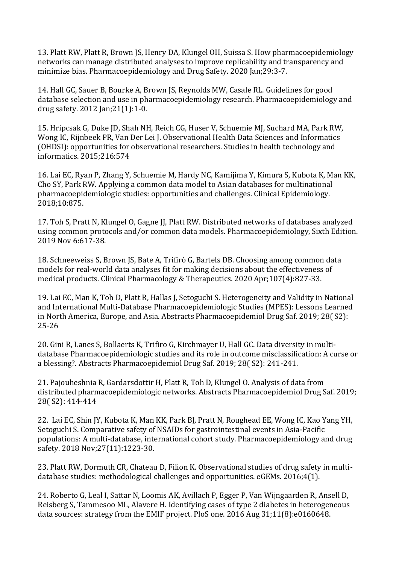13. Platt RW, Platt R, Brown JS, Henry DA, Klungel OH, Suissa S. How pharmacoepidemiology networks can manage distributed analyses to improve replicability and transparency and minimize bias. Pharmacoepidemiology and Drug Safety. 2020 Jan;29:3-7.

14. Hall GC, Sauer B, Bourke A, Brown JS, Reynolds MW, Casale RL. Guidelines for good database selection and use in pharmacoepidemiology research. Pharmacoepidemiology and drug safety. 2012 Jan;21(1):1-0.

15. Hripcsak G, Duke JD, Shah NH, Reich CG, Huser V, Schuemie MJ, Suchard MA, Park RW, Wong IC, Rijnbeek PR, Van Der Lei J. Observational Health Data Sciences and Informatics (OHDSI): opportunities for observational researchers. Studies in health technology and informatics. 2015;216:574

16. Lai EC, Ryan P, Zhang Y, Schuemie M, Hardy NC, Kamijima Y, Kimura S, Kubota K, Man KK, Cho SY, Park RW. Applying a common data model to Asian databases for multinational pharmacoepidemiologic studies: opportunities and challenges. Clinical Epidemiology. 2018;10:875.

17. Toh S, Pratt N, Klungel O, Gagne JJ, Platt RW. Distributed networks of databases analyzed using common protocols and/or common data models. Pharmacoepidemiology, Sixth Edition. 2019 Nov 6:617-38.

18. Schneeweiss S, Brown JS, Bate A, Trifirò G, Bartels DB. Choosing among common data models for real‐world data analyses fit for making decisions about the effectiveness of medical products. Clinical Pharmacology & Therapeutics. 2020 Apr;107(4):827-33.

19. Lai EC, Man K, Toh D, Platt R, Hallas J, Setoguchi S. Heterogeneity and Validity in National and International Multi-Database Pharmacoepidemiologic Studies (MPES): Lessons Learned in North America, Europe, and Asia. Abstracts Pharmacoepidemiol Drug Saf. 2019; 28( S2): 25-26

20. Gini R, Lanes S, Bollaerts K, Trifiro G, Kirchmayer U, Hall GC. Data diversity in multidatabase Pharmacoepidemiologic studies and its role in outcome misclassification: A curse or a blessing?. Abstracts Pharmacoepidemiol Drug Saf. 2019; 28( S2): 241-241.

21. Pajouheshnia R, Gardarsdottir H, Platt R, Toh D, Klungel O. Analysis of data from distributed pharmacoepidemiologic networks. Abstracts Pharmacoepidemiol Drug Saf. 2019; 28( S2): 414-414

22. Lai EC, Shin JY, Kubota K, Man KK, Park BJ, Pratt N, Roughead EE, Wong IC, Kao Yang YH, Setoguchi S. Comparative safety of NSAIDs for gastrointestinal events in Asia‐Pacific populations: A multi‐database, international cohort study. Pharmacoepidemiology and drug safety. 2018 Nov;27(11):1223-30.

23. Platt RW, Dormuth CR, Chateau D, Filion K. Observational studies of drug safety in multidatabase studies: methodological challenges and opportunities. eGEMs. 2016;4(1).

24. Roberto G, Leal I, Sattar N, Loomis AK, Avillach P, Egger P, Van Wijngaarden R, Ansell D, Reisberg S, Tammesoo ML, Alavere H. Identifying cases of type 2 diabetes in heterogeneous data sources: strategy from the EMIF project. PloS one. 2016 Aug 31;11(8):e0160648.